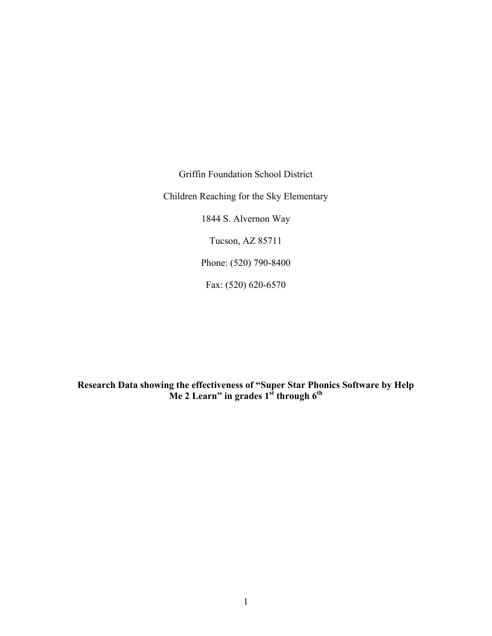Griffin Foundation School District Children Reaching for the Sky Elementary 1844 S. Alvernon Way Tucson, AZ 85711 Phone: (520) 790-8400

Fax: (520) 620-6570

**Research Data showing the effectiveness of "Super Star Phonics Software by Help Me 2 Learn" in grades 1st through 6th**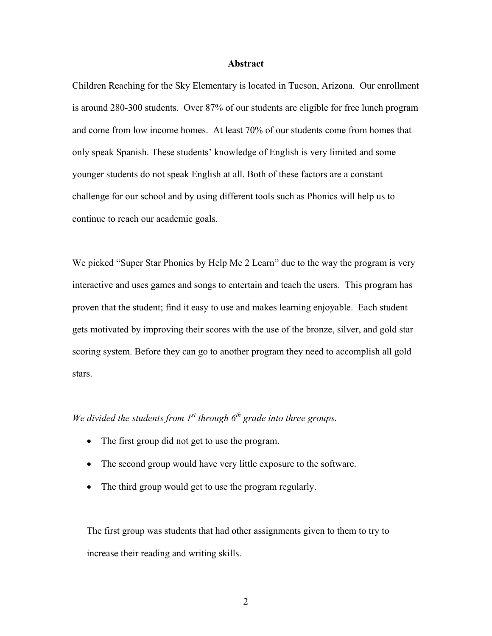#### **Abstract**

Children Reaching for the Sky Elementary is located in Tucson, Arizona. Our enrollment is around 280-300 students. Over 87% of our students are eligible for free lunch program and come from low income homes. At least 70% of our students come from homes that only speak Spanish. These students' knowledge of English is very limited and some younger students do not speak English at all. Both of these factors are a constant challenge for our school and by using different tools such as Phonics will help us to continue to reach our academic goals.

We picked "Super Star Phonics by Help Me 2 Learn" due to the way the program is very interactive and uses games and songs to entertain and teach the users. This program has proven that the student; find it easy to use and makes learning enjoyable. Each student gets motivated by improving their scores with the use of the bronze, silver, and gold star scoring system. Before they can go to another program they need to accomplish all gold stars.

# We divided the students from  $I^{st}$  through  $6^{th}$  grade into three groups.

- The first group did not get to use the program.
- The second group would have very little exposure to the software.
- The third group would get to use the program regularly.

The first group was students that had other assignments given to them to try to increase their reading and writing skills.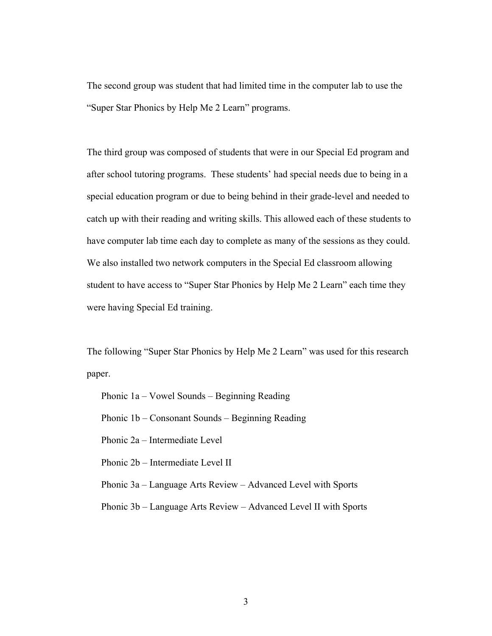The second group was student that had limited time in the computer lab to use the "Super Star Phonics by Help Me 2 Learn" programs.

The third group was composed of students that were in our Special Ed program and after school tutoring programs. These students' had special needs due to being in a special education program or due to being behind in their grade-level and needed to catch up with their reading and writing skills. This allowed each of these students to have computer lab time each day to complete as many of the sessions as they could. We also installed two network computers in the Special Ed classroom allowing student to have access to "Super Star Phonics by Help Me 2 Learn" each time they were having Special Ed training.

The following "Super Star Phonics by Help Me 2 Learn" was used for this research paper.

Phonic 1a – Vowel Sounds – Beginning Reading

Phonic 1b – Consonant Sounds – Beginning Reading

Phonic 2a – Intermediate Level

Phonic 2b – Intermediate Level II

Phonic 3a – Language Arts Review – Advanced Level with Sports

Phonic 3b – Language Arts Review – Advanced Level II with Sports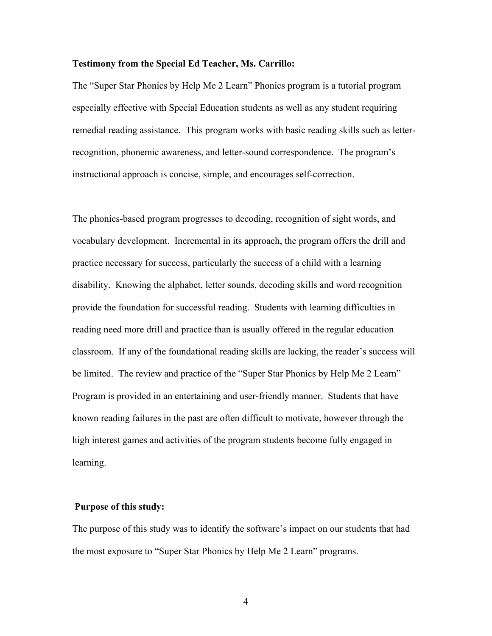#### **Testimony from the Special Ed Teacher, Ms. Carrillo:**

The "Super Star Phonics by Help Me 2 Learn" Phonics program is a tutorial program especially effective with Special Education students as well as any student requiring remedial reading assistance. This program works with basic reading skills such as letterrecognition, phonemic awareness, and letter-sound correspondence. The program's instructional approach is concise, simple, and encourages self-correction.

The phonics-based program progresses to decoding, recognition of sight words, and vocabulary development. Incremental in its approach, the program offers the drill and practice necessary for success, particularly the success of a child with a learning disability. Knowing the alphabet, letter sounds, decoding skills and word recognition provide the foundation for successful reading. Students with learning difficulties in reading need more drill and practice than is usually offered in the regular education classroom. If any of the foundational reading skills are lacking, the reader's success will be limited. The review and practice of the "Super Star Phonics by Help Me 2 Learn" Program is provided in an entertaining and user-friendly manner. Students that have known reading failures in the past are often difficult to motivate, however through the high interest games and activities of the program students become fully engaged in learning.

### **Purpose of this study:**

The purpose of this study was to identify the software's impact on our students that had the most exposure to "Super Star Phonics by Help Me 2 Learn" programs.

4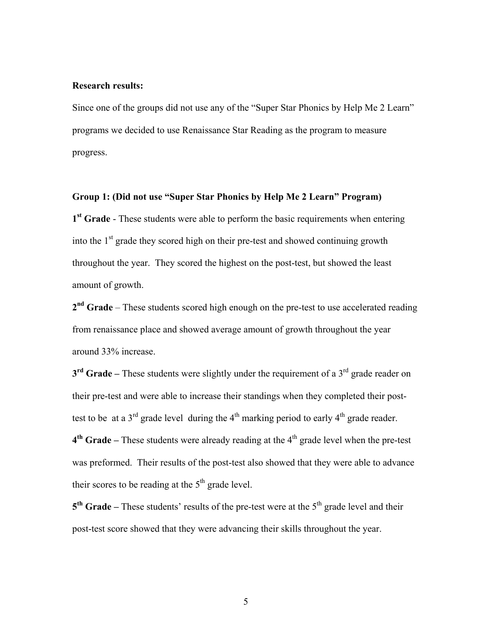## **Research results:**

Since one of the groups did not use any of the "Super Star Phonics by Help Me 2 Learn" programs we decided to use Renaissance Star Reading as the program to measure progress.

# **Group 1: (Did not use "Super Star Phonics by Help Me 2 Learn" Program)**

**1st Grade** - These students were able to perform the basic requirements when entering into the  $1<sup>st</sup>$  grade they scored high on their pre-test and showed continuing growth throughout the year. They scored the highest on the post-test, but showed the least amount of growth.

**2nd Grade** – These students scored high enough on the pre-test to use accelerated reading from renaissance place and showed average amount of growth throughout the year around 33% increase.

**3<sup>rd</sup> Grade** – These students were slightly under the requirement of a 3<sup>rd</sup> grade reader on their pre-test and were able to increase their standings when they completed their posttest to be at a  $3<sup>rd</sup>$  grade level during the  $4<sup>th</sup>$  marking period to early  $4<sup>th</sup>$  grade reader.  $4<sup>th</sup>$  Grade – These students were already reading at the  $4<sup>th</sup>$  grade level when the pre-test was preformed. Their results of the post-test also showed that they were able to advance their scores to be reading at the  $5<sup>th</sup>$  grade level.

5<sup>th</sup> Grade – These students' results of the pre-test were at the 5<sup>th</sup> grade level and their post-test score showed that they were advancing their skills throughout the year.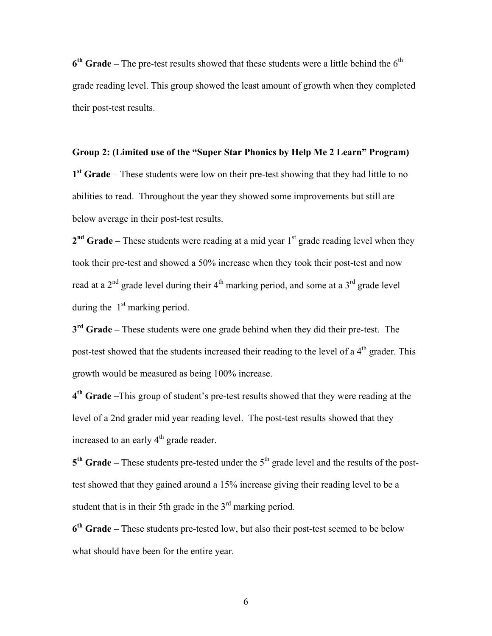6<sup>th</sup> Grade – The pre-test results showed that these students were a little behind the 6<sup>th</sup> grade reading level. This group showed the least amount of growth when they completed their post-test results.

# **Group 2: (Limited use of the "Super Star Phonics by Help Me 2 Learn" Program)**

**1st Grade** – These students were low on their pre-test showing that they had little to no abilities to read. Throughout the year they showed some improvements but still are below average in their post-test results.

2<sup>nd</sup> Grade – These students were reading at a mid year 1<sup>st</sup> grade reading level when they took their pre-test and showed a 50% increase when they took their post-test and now read at a  $2<sup>nd</sup>$  grade level during their  $4<sup>th</sup>$  marking period, and some at a  $3<sup>rd</sup>$  grade level during the  $1<sup>st</sup>$  marking period.

**3rd Grade –** These students were one grade behind when they did their pre-test. The post-test showed that the students increased their reading to the level of a  $4<sup>th</sup>$  grader. This growth would be measured as being 100% increase.

**4th Grade –**This group of student's pre-test results showed that they were reading at the level of a 2nd grader mid year reading level. The post-test results showed that they increased to an early  $4<sup>th</sup>$  grade reader.

5<sup>th</sup> Grade – These students pre-tested under the 5<sup>th</sup> grade level and the results of the posttest showed that they gained around a 15% increase giving their reading level to be a student that is in their 5th grade in the  $3<sup>rd</sup>$  marking period.

**6th Grade –** These students pre-tested low, but also their post-test seemed to be below what should have been for the entire year.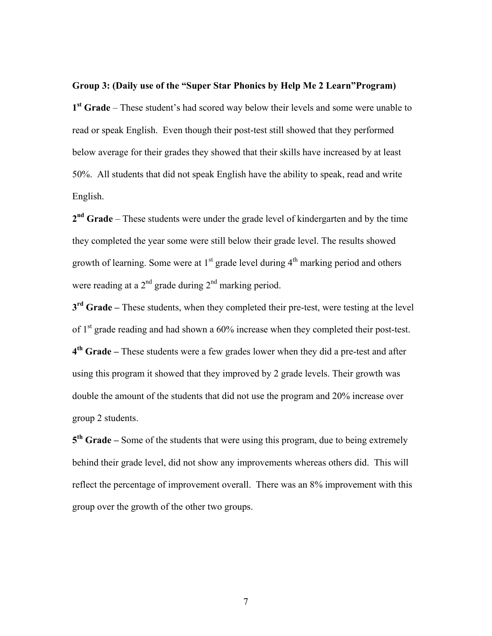# **Group 3: (Daily use of the "Super Star Phonics by Help Me 2 Learn"Program)**

**1st Grade** – These student's had scored way below their levels and some were unable to read or speak English. Even though their post-test still showed that they performed below average for their grades they showed that their skills have increased by at least 50%. All students that did not speak English have the ability to speak, read and write English.

**2nd Grade** – These students were under the grade level of kindergarten and by the time they completed the year some were still below their grade level. The results showed growth of learning. Some were at  $1<sup>st</sup>$  grade level during  $4<sup>th</sup>$  marking period and others were reading at a  $2<sup>nd</sup>$  grade during  $2<sup>nd</sup>$  marking period.

**3rd Grade –** These students, when they completed their pre-test, were testing at the level of  $1<sup>st</sup>$  grade reading and had shown a 60% increase when they completed their post-test. **4th Grade –** These students were a few grades lower when they did a pre-test and after using this program it showed that they improved by 2 grade levels. Their growth was double the amount of the students that did not use the program and 20% increase over group 2 students.

**5th Grade –** Some of the students that were using this program, due to being extremely behind their grade level, did not show any improvements whereas others did. This will reflect the percentage of improvement overall. There was an 8% improvement with this group over the growth of the other two groups.

7